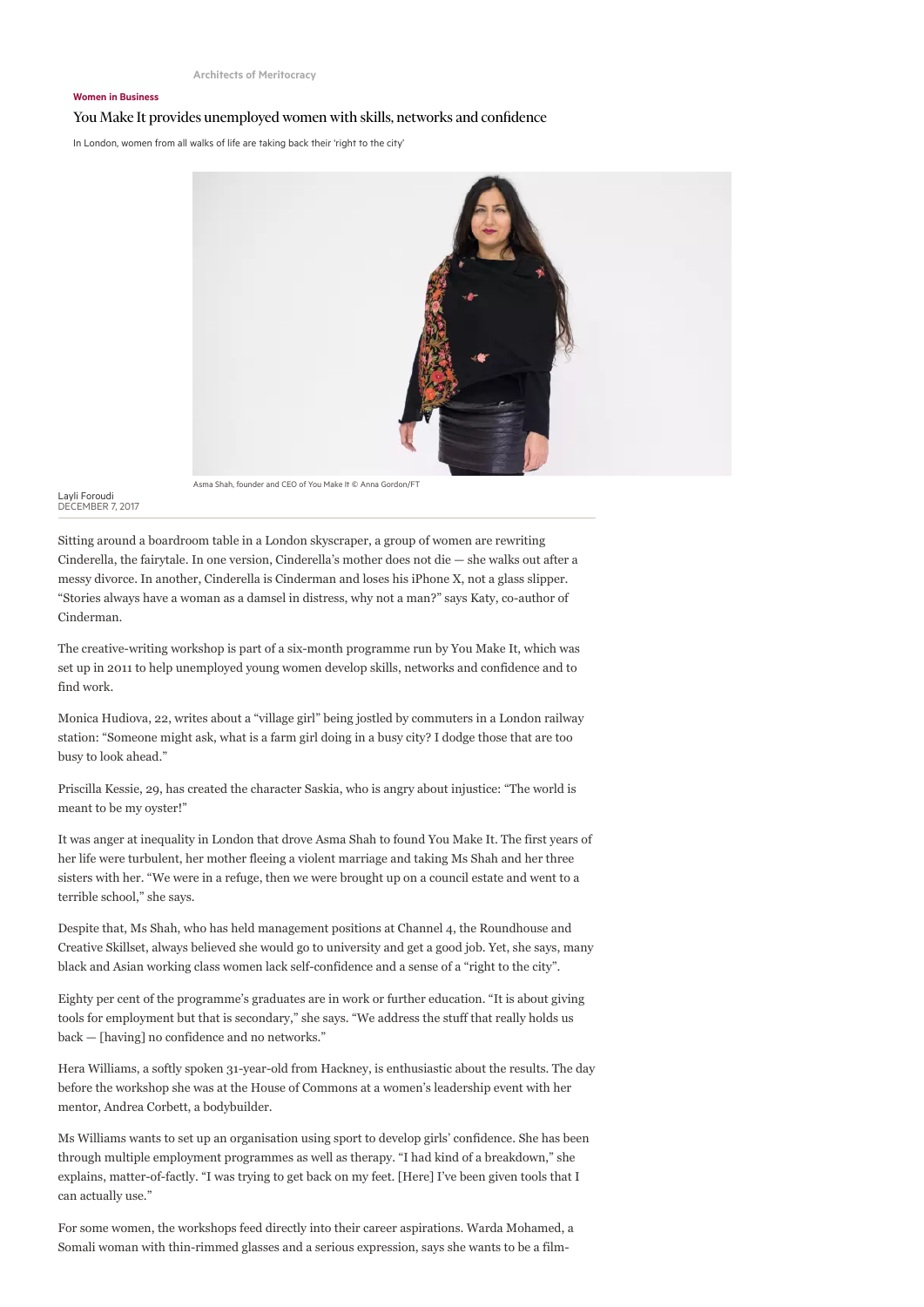## Women in Business

## You Make It provides unemployed women with skills, networks and confidence

In London, women from all walks of life are taking back their 'right to the city'



Asma Shah, founder and CEO of You Make It © Anna Gordon/FT

Layli Foroudi DECEMBER 7, 2017

Sitting around a boardroom table in a London skyscraper, a group of women are rewriting Cinderella, the fairytale. In one version, Cinderella's mother does not die — she walks out after a messy divorce. In another, Cinderella is Cinderman and loses his iPhone X, not a glass slipper. "Stories always have a woman as a damsel in distress, why not a man?" says Katy, co-author of Cinderman.

The creative-writing workshop is part of a six-month programme run by You Make It, which was set up in 2011 to help unemployed young women develop skills, networks and confidence and to find work.

Monica Hudiova, 22, writes about a "village girl" being jostled by commuters in a London railway station: "Someone might ask, what is a farm girl doing in a busy city? I dodge those that are too busy to look ahead."

Priscilla Kessie, 29, has created the character Saskia, who is angry about injustice: "The world is meant to be my oyster!"

It was anger at inequality in London that drove Asma Shah to found You Make It. The first years of her life were turbulent, her mother fleeing a violent marriage and taking Ms Shah and her three sisters with her. "We were in a refuge, then we were brought up on a council estate and went to a terrible school," she says.

Despite that, Ms Shah, who has held management positions at Channel 4, the Roundhouse and Creative Skillset, always believed she would go to university and get a good job. Yet, she says, many black and Asian working class women lack self-confidence and a sense of a "right to the city".

Eighty per cent of the programme's graduates are in work or further education. "It is about giving tools for employment but that is secondary," she says. "We address the stuff that really holds us back — [having] no confidence and no networks."

Hera Williams, a softly spoken 31-year-old from Hackney, is enthusiastic about the results. The day before the workshop she was at the House of Commons at a women's leadership event with her mentor, Andrea Corbett, a bodybuilder.

Ms Williams wants to set up an organisation using sport to develop girls' confidence. She has been through multiple employment programmes as well as therapy. "I had kind of a breakdown," she explains, matter-of-factly. "I was trying to get back on my feet. [Here] I've been given tools that I can actually use."

For some women, the workshops feed directly into their career aspirations. Warda Mohamed, a Somali woman with thin-rimmed glasses and a serious expression, says she wants to be a film